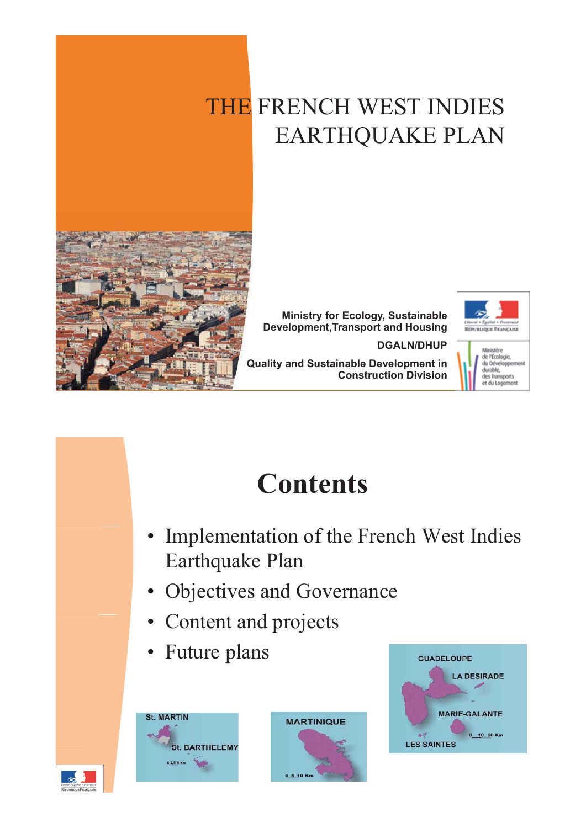### THE FRENCH WEST INDIES EARTHQUAKE PLAN



**Ministry for Ecology, Sustainable Development,Transport and Housing**

**DGALN/DHUP**



**Quality and Sustainable Development in Construction Division**



# **Contents**

- Implementation of the French West Indies Earthquake Plan
- Objectives and Governance
- Content and projects
- Future plans





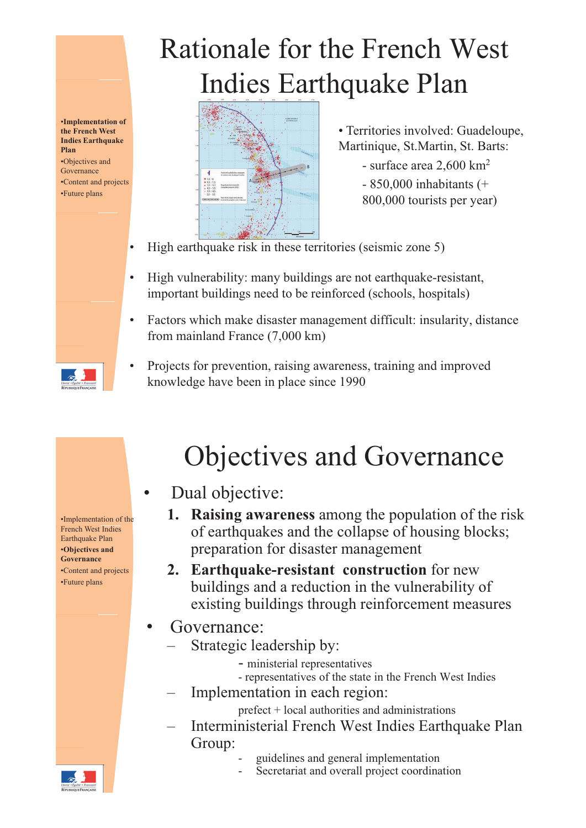#### •**Implementation of the French West Indies Earthquake Plan** •Objectives and

G Governance •Content and projects •Future plans

# Rationale for the French West Indies Earthquake Plan



• Territories involved: Guadeloupe, Martinique, St.Martin, St. Barts:

- surface area 2,600 km<sup>2</sup> - 850,000 inhabitants (+ 800,000 tourists per year)

- High earthquake risk in these territories (seismic zone 5)
- High vulnerability: many buildings are not earthquake-resistant, important buildings need to be reinforced (schools, hospitals)
- Factors which make disaster management difficult: insularity, distance from mainland France (7,000 km)
	- Projects for prevention, raising awareness, training and improved knowledge have been in place since 1990

French West Indies Earthquake Plan •**Objectives and Governance** •Content and projects •Future plans

### Objectives and Governance

- Dual objective:
- **I. Raising awareness** among the population of the risk of earthquakes and the collapse of housing blocks; preparation for disaster management
- **2 Earthquake resistant construction** for new •Content and projects **2. Earthquake-resistant**  buildings and a reduction in the vulnerability of existing buildings through reinforcement measures
	- Governance:
		- Strategic leadership by:
			- ministerial representatives
			- representatives of the state in the French West Indies
		- Implementation in each region:
			- prefect + local authorities and administrations
		- Interministerial French West Indies Earthquake Plan Group:
			- guidelines and general implementation
			- Secretariat and overall project coordination

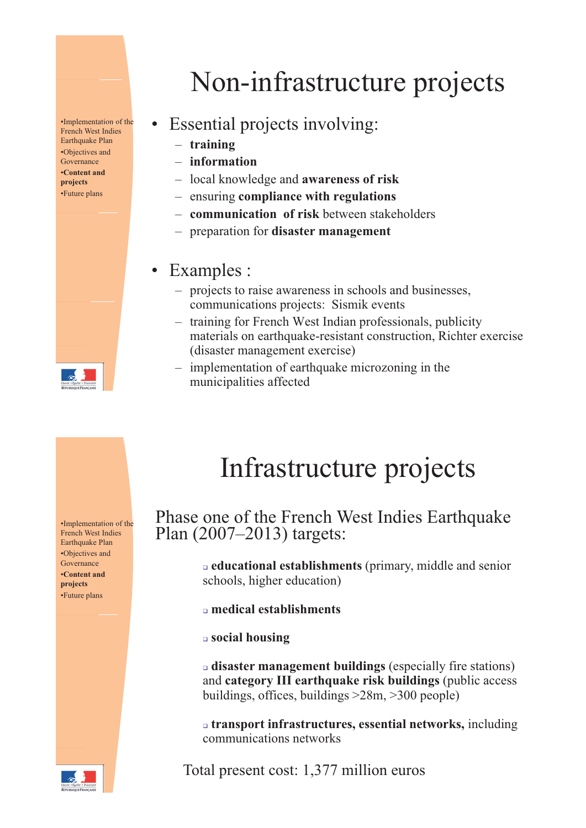**French West Indies** Earthquake Plan •Objectives and Governance •**Content and projects**  •Future plans



### $\frac{I_{\text{Implementation of the}}}{\text{Branch West Index}}$  • Essential projects involving:

- **training**
- **information**
- local knowledge and **awareness of risk**
- ensuring **compliance with regulations**
- **communication of risk** between stakeholders –
- preparation for **disaster management**

### • Examples :

- projects to raise awareness in schools and businesses, communications projects: Sismik events
- training for French West Indian professionals, publicity materials on earthquake-resistant construction, Richter exercise (disaster management exercise)
- implementation of earthquake microzoning in the municipalities affected

French West Indies Earthquake Plan •Objectives and Governance **projects**  •Future plans



## Infrastructure projects

French West Indies<br>
French West Indies Earthquake<br>
Factbouske Plan (2007–2013) targets:

**E educational establishments** (primary, middle and senior **•Content and excluding the senior** *exting* schools, higher education)

- **medical establishments** 

- **social housing**

- **disaster management buildings** (especially fire stations) and **category III earthquake risk buildings** (public access buildings, offices, buildings >28m, >300 people)

- **transport infrastructures, essential networks,** including communications networks

Total present cost: 1,377 million euros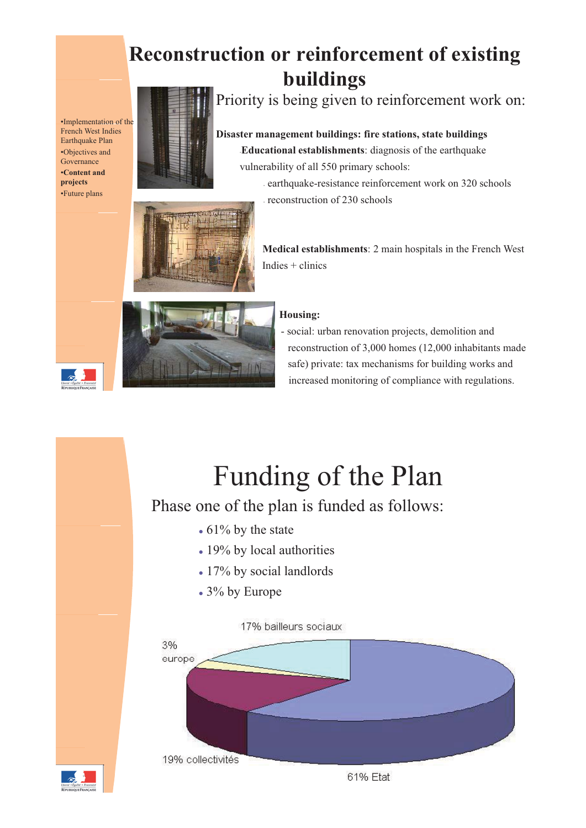### **Reconstruction or reinforcement of existing buildings**

•Implementation of the French West Indies Earthquake Plan •Objectives and Governance **projects**  •Future plans



Priority is being given to reinforcement work on:

#### **Disaster management buildings: fire stations, state buildings**

-**Educational establishments**: diagnosis of the earthquake vulnerability of all 550 primary schools: •**Content and** 

- earthquake-resistance reinforcement work on 320 schools
- reconstruction of 230 schools



Medical establishments: 2 main hospitals in the French West  $Indies + clinics$ 





- social: urban renovation projects, demolition and reconstruction of  $3,000$  homes (12,000 inhabitants made safe) private: tax mechanisms for building works and increased monitoring of compliance with regulations.

# Funding of the Plan

### Phase one of the plan is funded as follows:

- $\cdot$  61% by the state
- 19% by local authorities
- 17% by social landlords
- 3% by Europe



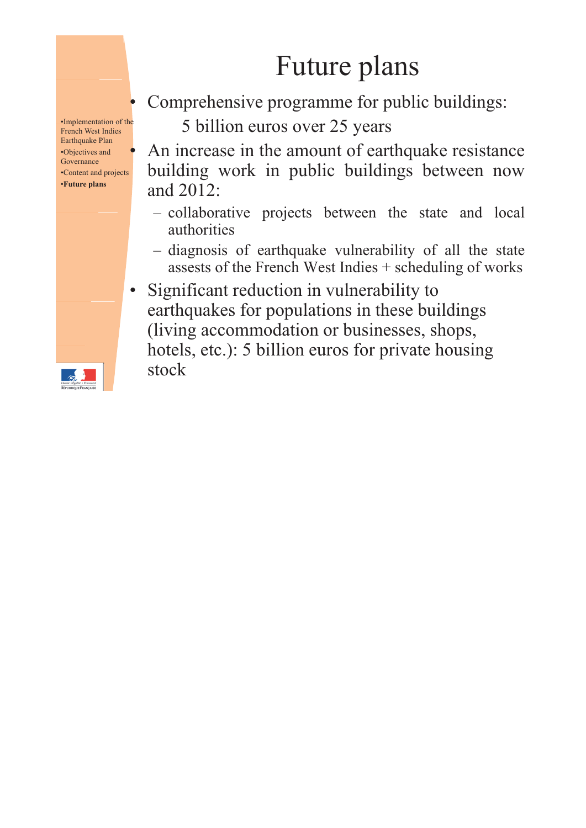## Future plans

•Implementation of the French West Indies Earthquake Plan •Objectives and Governance •Content and projects •**Future plans**

Comprehensive programme for public buildings:

5 billion euros over 25 years

An increase in the amount of earthquake resistance building work in public buildings between now and 2012:

- collaborative projects between the state and local authorities
- diagnosis of earthquake vulnerability of all the state assests of the French West Indies + scheduling of works
- Significant reduction in vulnerability to earthquakes for populations in these buildings (living accommodation or businesses, shops, hotels, etc.): 5 billion euros for private housing stock

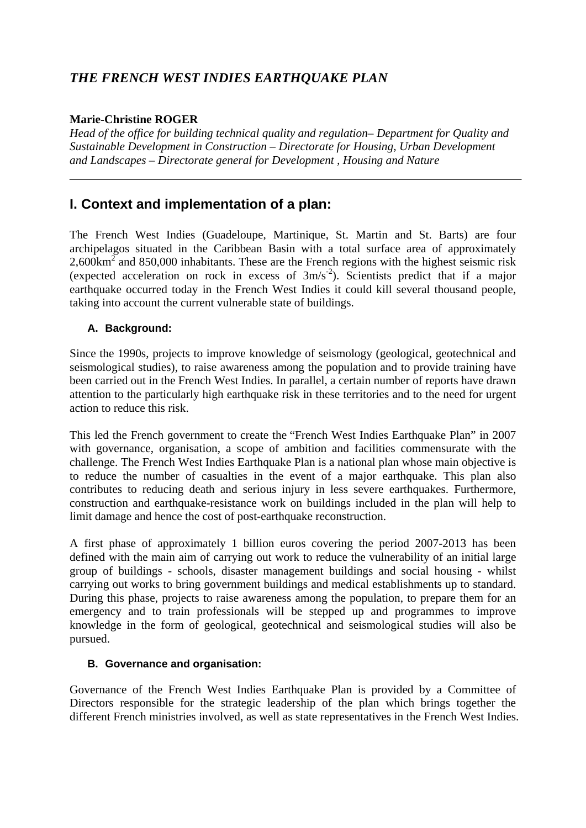#### *THE FRENCH WEST INDIES EARTHQUAKE PLAN*

#### **Marie-Christine ROGER**

*Head of the office for building technical quality and regulation– Department for Quality and Sustainable Development in Construction – Directorate for Housing, Urban Development and Landscapes – Directorate general for Development , Housing and Nature* 

#### **I. Context and implementation of a plan:**

The French West Indies (Guadeloupe, Martinique, St. Martin and St. Barts) are four archipelagos situated in the Caribbean Basin with a total surface area of approximately  $2,600 \text{km}^2$  and 850,000 inhabitants. These are the French regions with the highest seismic risk (expected acceleration on rock in excess of  $3m/s<sup>-2</sup>$ ). Scientists predict that if a major earthquake occurred today in the French West Indies it could kill several thousand people, taking into account the current vulnerable state of buildings.

#### **A. Background:**

Since the 1990s, projects to improve knowledge of seismology (geological, geotechnical and seismological studies), to raise awareness among the population and to provide training have been carried out in the French West Indies. In parallel, a certain number of reports have drawn attention to the particularly high earthquake risk in these territories and to the need for urgent action to reduce this risk.

This led the French government to create the "French West Indies Earthquake Plan" in 2007 with governance, organisation, a scope of ambition and facilities commensurate with the challenge. The French West Indies Earthquake Plan is a national plan whose main objective is to reduce the number of casualties in the event of a major earthquake. This plan also contributes to reducing death and serious injury in less severe earthquakes. Furthermore, construction and earthquake-resistance work on buildings included in the plan will help to limit damage and hence the cost of post-earthquake reconstruction.

A first phase of approximately 1 billion euros covering the period 2007-2013 has been defined with the main aim of carrying out work to reduce the vulnerability of an initial large group of buildings - schools, disaster management buildings and social housing - whilst carrying out works to bring government buildings and medical establishments up to standard. During this phase, projects to raise awareness among the population, to prepare them for an emergency and to train professionals will be stepped up and programmes to improve knowledge in the form of geological, geotechnical and seismological studies will also be pursued.

#### **B. Governance and organisation:**

Governance of the French West Indies Earthquake Plan is provided by a Committee of Directors responsible for the strategic leadership of the plan which brings together the different French ministries involved, as well as state representatives in the French West Indies.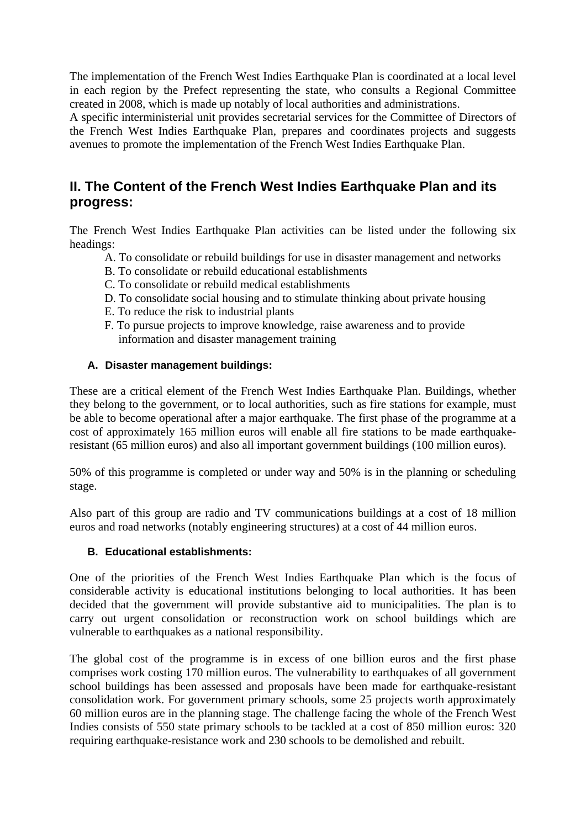The implementation of the French West Indies Earthquake Plan is coordinated at a local level in each region by the Prefect representing the state, who consults a Regional Committee created in 2008, which is made up notably of local authorities and administrations.

A specific interministerial unit provides secretarial services for the Committee of Directors of the French West Indies Earthquake Plan, prepares and coordinates projects and suggests avenues to promote the implementation of the French West Indies Earthquake Plan.

#### **II. The Content of the French West Indies Earthquake Plan and its progress:**

The French West Indies Earthquake Plan activities can be listed under the following six headings:

- A. To consolidate or rebuild buildings for use in disaster management and networks
- B. To consolidate or rebuild educational establishments
- C. To consolidate or rebuild medical establishments
- D. To consolidate social housing and to stimulate thinking about private housing
- E. To reduce the risk to industrial plants
- F. To pursue projects to improve knowledge, raise awareness and to provide information and disaster management training

#### **A. Disaster management buildings:**

These are a critical element of the French West Indies Earthquake Plan. Buildings, whether they belong to the government, or to local authorities, such as fire stations for example, must be able to become operational after a major earthquake. The first phase of the programme at a cost of approximately 165 million euros will enable all fire stations to be made earthquakeresistant (65 million euros) and also all important government buildings (100 million euros).

50% of this programme is completed or under way and 50% is in the planning or scheduling stage.

Also part of this group are radio and TV communications buildings at a cost of 18 million euros and road networks (notably engineering structures) at a cost of 44 million euros.

#### **B. Educational establishments:**

One of the priorities of the French West Indies Earthquake Plan which is the focus of considerable activity is educational institutions belonging to local authorities. It has been decided that the government will provide substantive aid to municipalities. The plan is to carry out urgent consolidation or reconstruction work on school buildings which are vulnerable to earthquakes as a national responsibility.

The global cost of the programme is in excess of one billion euros and the first phase comprises work costing 170 million euros. The vulnerability to earthquakes of all government school buildings has been assessed and proposals have been made for earthquake-resistant consolidation work. For government primary schools, some 25 projects worth approximately 60 million euros are in the planning stage. The challenge facing the whole of the French West Indies consists of 550 state primary schools to be tackled at a cost of 850 million euros: 320 requiring earthquake-resistance work and 230 schools to be demolished and rebuilt.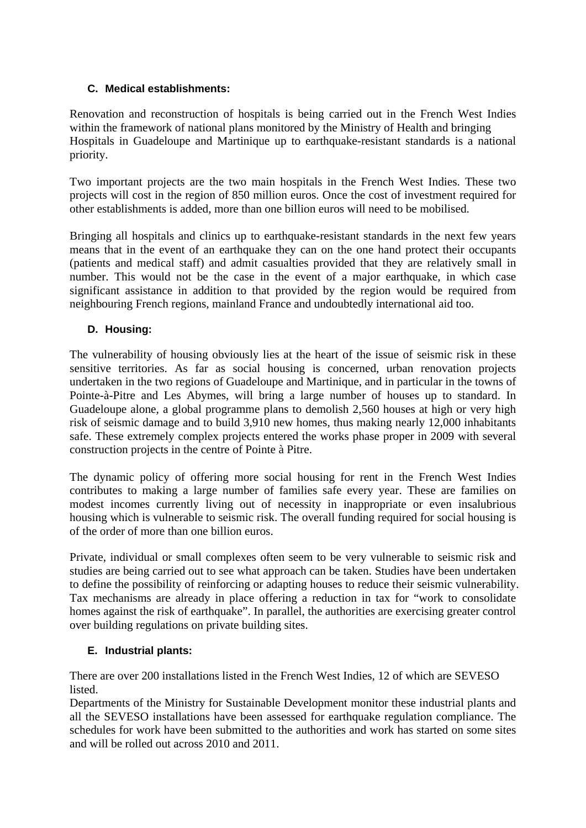#### **C. Medical establishments:**

Renovation and reconstruction of hospitals is being carried out in the French West Indies within the framework of national plans monitored by the Ministry of Health and bringing Hospitals in Guadeloupe and Martinique up to earthquake-resistant standards is a national priority.

Two important projects are the two main hospitals in the French West Indies. These two projects will cost in the region of 850 million euros. Once the cost of investment required for other establishments is added, more than one billion euros will need to be mobilised.

Bringing all hospitals and clinics up to earthquake-resistant standards in the next few years means that in the event of an earthquake they can on the one hand protect their occupants (patients and medical staff) and admit casualties provided that they are relatively small in number. This would not be the case in the event of a major earthquake, in which case significant assistance in addition to that provided by the region would be required from neighbouring French regions, mainland France and undoubtedly international aid too.

#### **D. Housing:**

The vulnerability of housing obviously lies at the heart of the issue of seismic risk in these sensitive territories. As far as social housing is concerned, urban renovation projects undertaken in the two regions of Guadeloupe and Martinique, and in particular in the towns of Pointe-à-Pitre and Les Abymes, will bring a large number of houses up to standard. In Guadeloupe alone, a global programme plans to demolish 2,560 houses at high or very high risk of seismic damage and to build 3,910 new homes, thus making nearly 12,000 inhabitants safe. These extremely complex projects entered the works phase proper in 2009 with several construction projects in the centre of Pointe à Pitre.

The dynamic policy of offering more social housing for rent in the French West Indies contributes to making a large number of families safe every year. These are families on modest incomes currently living out of necessity in inappropriate or even insalubrious housing which is vulnerable to seismic risk. The overall funding required for social housing is of the order of more than one billion euros.

Private, individual or small complexes often seem to be very vulnerable to seismic risk and studies are being carried out to see what approach can be taken. Studies have been undertaken to define the possibility of reinforcing or adapting houses to reduce their seismic vulnerability. Tax mechanisms are already in place offering a reduction in tax for "work to consolidate homes against the risk of earthquake". In parallel, the authorities are exercising greater control over building regulations on private building sites.

#### **E. Industrial plants:**

There are over 200 installations listed in the French West Indies, 12 of which are SEVESO **listed** 

Departments of the Ministry for Sustainable Development monitor these industrial plants and all the SEVESO installations have been assessed for earthquake regulation compliance. The schedules for work have been submitted to the authorities and work has started on some sites and will be rolled out across 2010 and 2011.